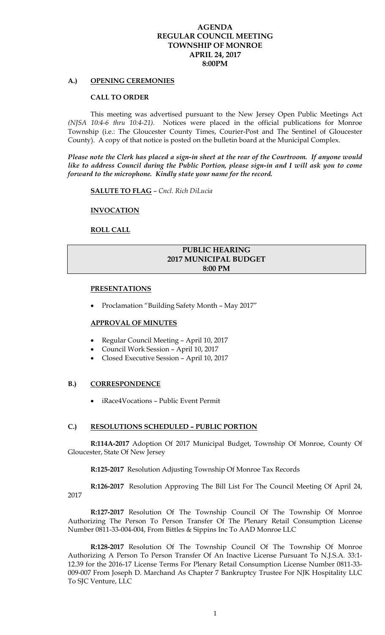## **AGENDA REGULAR COUNCIL MEETING TOWNSHIP OF MONROE APRIL 24, 2017 8:00PM**

## **A.) OPENING CEREMONIES**

### **CALL TO ORDER**

This meeting was advertised pursuant to the New Jersey Open Public Meetings Act *(NJSA 10:4-6 thru 10:4-21).* Notices were placed in the official publications for Monroe Township (i.e.: The Gloucester County Times, Courier-Post and The Sentinel of Gloucester County). A copy of that notice is posted on the bulletin board at the Municipal Complex.

*Please note the Clerk has placed a sign-in sheet at the rear of the Courtroom. If anyone would like to address Council during the Public Portion, please sign-in and I will ask you to come forward to the microphone. Kindly state your name for the record.* 

**SALUTE TO FLAG** – *Cncl. Rich DiLucia* 

 **INVOCATION** 

 **ROLL CALL** 

# **PUBLIC HEARING 2017 MUNICIPAL BUDGET 8:00 PM**

#### **PRESENTATIONS**

Proclamation "Building Safety Month – May 2017"

#### **APPROVAL OF MINUTES**

- Regular Council Meeting April 10, 2017
- Council Work Session April 10, 2017
- Closed Executive Session April 10, 2017

## **B.) CORRESPONDENCE**

iRace4Vocations – Public Event Permit

#### **C.) RESOLUTIONS SCHEDULED – PUBLIC PORTION**

**R:114A-2017** Adoption Of 2017 Municipal Budget, Township Of Monroe, County Of Gloucester, State Of New Jersey

**R:125-2017** Resolution Adjusting Township Of Monroe Tax Records

**R:126-2017** Resolution Approving The Bill List For The Council Meeting Of April 24, 2017

**R:127-2017** Resolution Of The Township Council Of The Township Of Monroe Authorizing The Person To Person Transfer Of The Plenary Retail Consumption License Number 0811-33-004-004, From Bittles & Sippins Inc To AAD Monroe LLC

**R:128-2017** Resolution Of The Township Council Of The Township Of Monroe Authorizing A Person To Person Transfer Of An Inactive License Pursuant To N.J.S.A. 33:1- 12.39 for the 2016-17 License Terms For Plenary Retail Consumption License Number 0811-33- 009-007 From Joseph D. Marchand As Chapter 7 Bankruptcy Trustee For NJK Hospitality LLC To SJC Venture, LLC